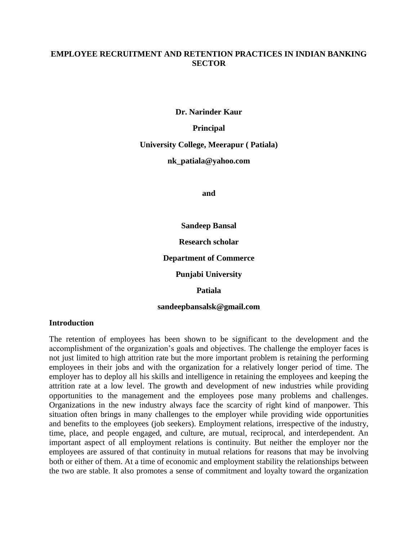#### **EMPLOYEE RECRUITMENT AND RETENTION PRACTICES IN INDIAN BANKING SECTOR**

**Dr. Narinder Kaur**

**Principal**

**University College, Meerapur ( Patiala)**

**nk\_patiala@yahoo.com**

**and** 

**Sandeep Bansal**

**Research scholar**

**Department of Commerce**

**Punjabi University**

**Patiala**

**sandeepbansalsk@gmail.com**

#### **Introduction**

The retention of employees has been shown to be significant to the development and the accomplishment of the organization's goals and objectives. The challenge the employer faces is not just limited to high attrition rate but the more important problem is retaining the performing employees in their jobs and with the organization for a relatively longer period of time. The employer has to deploy all his skills and intelligence in retaining the employees and keeping the attrition rate at a low level. The growth and development of new industries while providing opportunities to the management and the employees pose many problems and challenges. Organizations in the new industry always face the scarcity of right kind of manpower. This situation often brings in many challenges to the employer while providing wide opportunities and benefits to the employees (job seekers). Employment relations, irrespective of the industry, time, place, and people engaged, and culture, are mutual, reciprocal, and interdependent. An important aspect of all employment relations is continuity. But neither the employer nor the employees are assured of that continuity in mutual relations for reasons that may be involving both or either of them. At a time of economic and employment stability the relationships between the two are stable. It also promotes a sense of commitment and loyalty toward the organization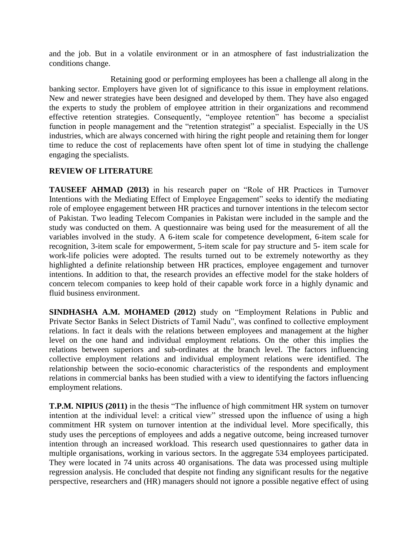and the job. But in a volatile environment or in an atmosphere of fast industrialization the conditions change.

 Retaining good or performing employees has been a challenge all along in the banking sector. Employers have given lot of significance to this issue in employment relations. New and newer strategies have been designed and developed by them. They have also engaged the experts to study the problem of employee attrition in their organizations and recommend effective retention strategies. Consequently, "employee retention" has become a specialist function in people management and the "retention strategist" a specialist. Especially in the US industries, which are always concerned with hiring the right people and retaining them for longer time to reduce the cost of replacements have often spent lot of time in studying the challenge engaging the specialists.

# **REVIEW OF LITERATURE**

**TAUSEEF AHMAD (2013)** in his research paper on "Role of HR Practices in Turnover Intentions with the Mediating Effect of Employee Engagement" seeks to identify the mediating role of employee engagement between HR practices and turnover intentions in the telecom sector of Pakistan. Two leading Telecom Companies in Pakistan were included in the sample and the study was conducted on them. A questionnaire was being used for the measurement of all the variables involved in the study. A 6-item scale for competence development, 6-item scale for recognition, 3-item scale for empowerment, 5-item scale for pay structure and 5- item scale for work-life policies were adopted. The results turned out to be extremely noteworthy as they highlighted a definite relationship between HR practices, employee engagement and turnover intentions. In addition to that, the research provides an effective model for the stake holders of concern telecom companies to keep hold of their capable work force in a highly dynamic and fluid business environment.

**SINDHASHA A.M. MOHAMED (2012)** study on "Employment Relations in Public and Private Sector Banks in Select Districts of Tamil Nadu", was confined to collective employment relations. In fact it deals with the relations between employees and management at the higher level on the one hand and individual employment relations. On the other this implies the relations between superiors and sub-ordinates at the branch level. The factors influencing collective employment relations and individual employment relations were identified. The relationship between the socio-economic characteristics of the respondents and employment relations in commercial banks has been studied with a view to identifying the factors influencing employment relations.

**T.P.M. NIPIUS (2011)** in the thesis "The influence of high commitment HR system on turnover intention at the individual level: a critical view" stressed upon the influence of using a high commitment HR system on turnover intention at the individual level. More specifically, this study uses the perceptions of employees and adds a negative outcome, being increased turnover intention through an increased workload. This research used questionnaires to gather data in multiple organisations, working in various sectors. In the aggregate 534 employees participated. They were located in 74 units across 40 organisations. The data was processed using multiple regression analysis. He concluded that despite not finding any significant results for the negative perspective, researchers and (HR) managers should not ignore a possible negative effect of using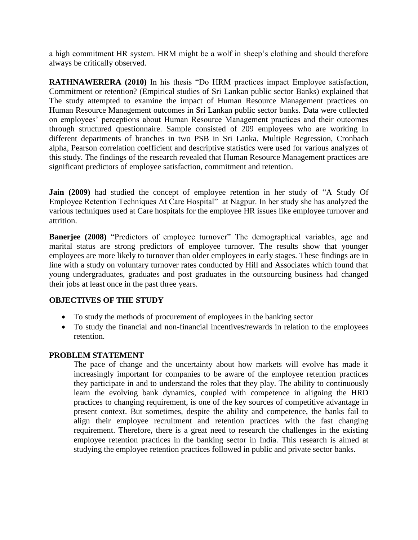a high commitment HR system. HRM might be a wolf in sheep's clothing and should therefore always be critically observed.

**RATHNAWERERA (2010)** In his thesis "Do HRM practices impact Employee satisfaction, Commitment or retention? (Empirical studies of Sri Lankan public sector Banks) explained that The study attempted to examine the impact of Human Resource Management practices on Human Resource Management outcomes in Sri Lankan public sector banks. Data were collected on employees' perceptions about Human Resource Management practices and their outcomes through structured questionnaire. Sample consisted of 209 employees who are working in different departments of branches in two PSB in Sri Lanka. Multiple Regression, Cronbach alpha, Pearson correlation coefficient and descriptive statistics were used for various analyzes of this study. The findings of the research revealed that Human Resource Management practices are significant predictors of employee satisfaction, commitment and retention.

**Jain (2009)** had studied the concept of employee retention in her study of "A Study Of Employee Retention Techniques At Care Hospital" at Nagpur. In her study she has analyzed the various techniques used at Care hospitals for the employee HR issues like employee turnover and attrition.

**Banerjee (2008)** "Predictors of employee turnover" The demographical variables, age and marital status are strong predictors of employee turnover. The results show that younger employees are more likely to turnover than older employees in early stages. These findings are in line with a study on voluntary turnover rates conducted by Hill and Associates which found that young undergraduates, graduates and post graduates in the outsourcing business had changed their jobs at least once in the past three years.

# **OBJECTIVES OF THE STUDY**

- To study the methods of procurement of employees in the banking sector
- To study the financial and non-financial incentives/rewards in relation to the employees retention.

#### **PROBLEM STATEMENT**

The pace of change and the uncertainty about how markets will evolve has made it increasingly important for companies to be aware of the employee retention practices they participate in and to understand the roles that they play. The ability to continuously learn the evolving bank dynamics, coupled with competence in aligning the HRD practices to changing requirement, is one of the key sources of competitive advantage in present context. But sometimes, despite the ability and competence, the banks fail to align their employee recruitment and retention practices with the fast changing requirement. Therefore, there is a great need to research the challenges in the existing employee retention practices in the banking sector in India. This research is aimed at studying the employee retention practices followed in public and private sector banks.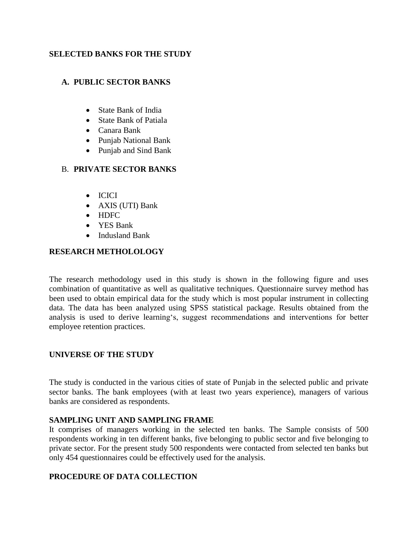# **SELECTED BANKS FOR THE STUDY**

# **A. PUBLIC SECTOR BANKS**

- State Bank of India
- State Bank of Patiala
- Canara Bank
- Punjab National Bank
- Punjab and Sind Bank

#### B. **PRIVATE SECTOR BANKS**

- ICICI
- AXIS (UTI) Bank
- HDFC
- YES Bank
- Indusland Bank

# **RESEARCH METHOLOLOGY**

The research methodology used in this study is shown in the following figure and uses combination of quantitative as well as qualitative techniques. Questionnaire survey method has been used to obtain empirical data for the study which is most popular instrument in collecting data. The data has been analyzed using SPSS statistical package. Results obtained from the analysis is used to derive learning's, suggest recommendations and interventions for better employee retention practices.

# **UNIVERSE OF THE STUDY**

The study is conducted in the various cities of state of Punjab in the selected public and private sector banks. The bank employees (with at least two years experience), managers of various banks are considered as respondents.

#### **SAMPLING UNIT AND SAMPLING FRAME**

It comprises of managers working in the selected ten banks. The Sample consists of 500 respondents working in ten different banks, five belonging to public sector and five belonging to private sector. For the present study 500 respondents were contacted from selected ten banks but only 454 questionnaires could be effectively used for the analysis.

# **PROCEDURE OF DATA COLLECTION**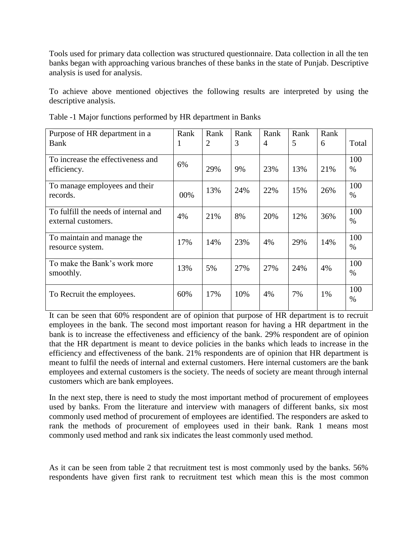Tools used for primary data collection was structured questionnaire. Data collection in all the ten banks began with approaching various branches of these banks in the state of Punjab. Descriptive analysis is used for analysis.

To achieve above mentioned objectives the following results are interpreted by using the descriptive analysis.

| Purpose of HR department in a<br><b>Bank</b>                | Rank<br>1 | Rank<br>$\overline{2}$ | Rank<br>3 | Rank<br>$\overline{4}$ | Rank<br>5 | Rank<br>6 | Total       |
|-------------------------------------------------------------|-----------|------------------------|-----------|------------------------|-----------|-----------|-------------|
| To increase the effectiveness and<br>efficiency.            | 6%        | 29%                    | 9%        | 23%                    | 13%       | 21%       | 100<br>$\%$ |
| To manage employees and their<br>records.                   | 00%       | 13%                    | 24%       | 22%                    | 15%       | 26%       | 100<br>$\%$ |
| To fulfill the needs of internal and<br>external customers. | 4%        | 21%                    | 8%        | 20%                    | 12%       | 36%       | 100<br>$\%$ |
| To maintain and manage the<br>resource system.              | 17%       | 14%                    | 23%       | 4%                     | 29%       | 14%       | 100<br>$\%$ |
| To make the Bank's work more<br>smoothly.                   | 13%       | 5%                     | 27%       | 27%                    | 24%       | 4%        | 100<br>$\%$ |
| To Recruit the employees.                                   | 60%       | 17%                    | 10%       | 4%                     | 7%        | 1%        | 100<br>$\%$ |

Table -1 Major functions performed by HR department in Banks

It can be seen that 60% respondent are of opinion that purpose of HR department is to recruit employees in the bank. The second most important reason for having a HR department in the bank is to increase the effectiveness and efficiency of the bank. 29% respondent are of opinion that the HR department is meant to device policies in the banks which leads to increase in the efficiency and effectiveness of the bank. 21% respondents are of opinion that HR department is meant to fulfil the needs of internal and external customers. Here internal customers are the bank employees and external customers is the society. The needs of society are meant through internal customers which are bank employees.

In the next step, there is need to study the most important method of procurement of employees used by banks. From the literature and interview with managers of different banks, six most commonly used method of procurement of employees are identified. The responders are asked to rank the methods of procurement of employees used in their bank. Rank 1 means most commonly used method and rank six indicates the least commonly used method.

As it can be seen from table 2 that recruitment test is most commonly used by the banks. 56% respondents have given first rank to recruitment test which mean this is the most common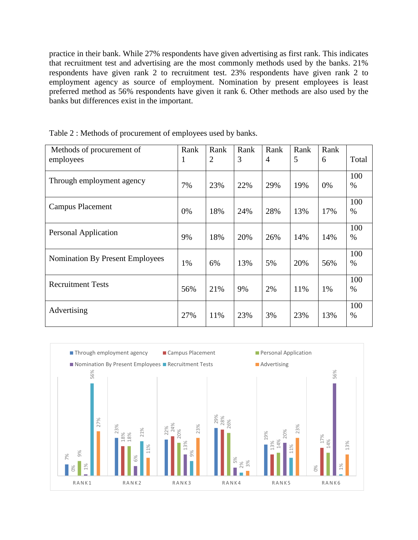practice in their bank. While 27% respondents have given advertising as first rank. This indicates that recruitment test and advertising are the most commonly methods used by the banks. 21% respondents have given rank 2 to recruitment test. 23% respondents have given rank 2 to employment agency as source of employment. Nomination by present employees is least preferred method as 56% respondents have given it rank 6. Other methods are also used by the banks but differences exist in the important.

| Methods of procurement of<br>employees | Rank<br>1 | Rank<br>$\overline{2}$ | Rank<br>3 | Rank<br>$\overline{4}$ | Rank<br>5 | Rank<br>6 | Total       |
|----------------------------------------|-----------|------------------------|-----------|------------------------|-----------|-----------|-------------|
| Through employment agency              | 7%        | 23%                    | 22%       | 29%                    | 19%       | 0%        | 100<br>$\%$ |
| <b>Campus Placement</b>                | 0%        | 18%                    | 24%       | 28%                    | 13%       | 17%       | 100<br>%    |
| Personal Application                   | 9%        | 18%                    | 20%       | 26%                    | 14%       | 14%       | 100<br>$\%$ |
| <b>Nomination By Present Employees</b> | 1%        | 6%                     | 13%       | 5%                     | 20%       | 56%       | 100<br>$\%$ |
| <b>Recruitment Tests</b>               | 56%       | 21%                    | 9%        | 2%                     | 11%       | 1%        | 100<br>$\%$ |
| Advertising                            | 27%       | 11%                    | 23%       | 3%                     | 23%       | 13%       | 100<br>%    |

Table 2 : Methods of procurement of employees used by banks.

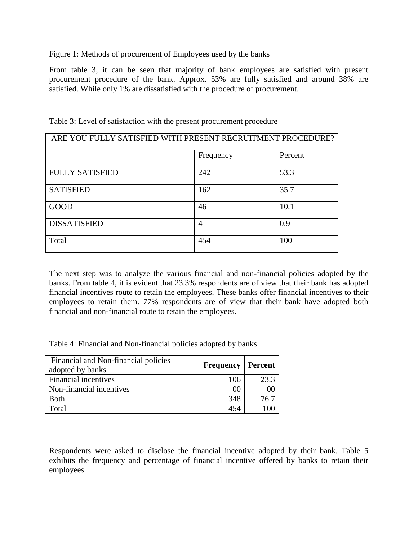Figure 1: Methods of procurement of Employees used by the banks

From table 3, it can be seen that majority of bank employees are satisfied with present procurement procedure of the bank. Approx. 53% are fully satisfied and around 38% are satisfied. While only 1% are dissatisfied with the procedure of procurement.

| ARE YOU FULLY SATISFIED WITH PRESENT RECRUITMENT PROCEDURE? |                |         |  |  |
|-------------------------------------------------------------|----------------|---------|--|--|
|                                                             | Frequency      | Percent |  |  |
| <b>FULLY SATISFIED</b>                                      | 242            | 53.3    |  |  |
| <b>SATISFIED</b>                                            | 162            | 35.7    |  |  |
| <b>GOOD</b>                                                 | 46             | 10.1    |  |  |
| <b>DISSATISFIED</b>                                         | $\overline{4}$ | 0.9     |  |  |
| Total                                                       | 454            | 100     |  |  |

Table 3: Level of satisfaction with the present procurement procedure

The next step was to analyze the various financial and non-financial policies adopted by the banks. From table 4, it is evident that 23.3% respondents are of view that their bank has adopted financial incentives route to retain the employees. These banks offer financial incentives to their employees to retain them. 77% respondents are of view that their bank have adopted both financial and non-financial route to retain the employees.

Table 4: Financial and Non-financial policies adopted by banks

| Financial and Non-financial policies<br>adopted by banks | <b>Frequency</b> | Percent |
|----------------------------------------------------------|------------------|---------|
| <b>Financial incentives</b>                              | 106              | 23.3    |
| Non-financial incentives                                 | 00               | 0C      |
| <b>Both</b>                                              | 348              | 76.7    |
| Total                                                    | 454              |         |

Respondents were asked to disclose the financial incentive adopted by their bank. Table 5 exhibits the frequency and percentage of financial incentive offered by banks to retain their employees.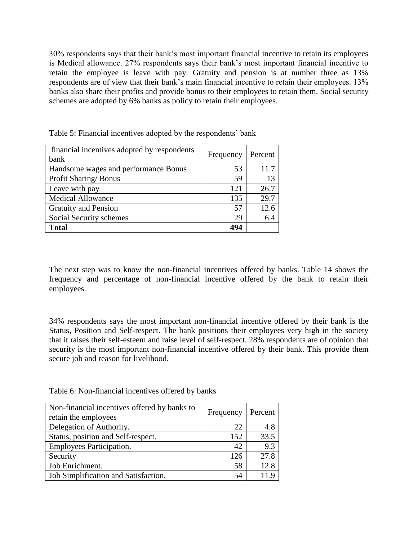30% respondents says that their bank's most important financial incentive to retain its employees is Medical allowance. 27% respondents says their bank's most important financial incentive to retain the employee is leave with pay. Gratuity and pension is at number three as 13% respondents are of view that their bank's main financial incentive to retain their employees. 13% banks also share their profits and provide bonus to their employees to retain them. Social security schemes are adopted by 6% banks as policy to retain their employees.

| financial incentives adopted by respondents<br>bank | Frequency | Percent |
|-----------------------------------------------------|-----------|---------|
| Handsome wages and performance Bonus                | 53        | 11.7    |
| Profit Sharing/Bonus                                | 59        | 13      |
| Leave with pay                                      | 121       | 26.7    |
| <b>Medical Allowance</b>                            | 135       | 29.7    |
| <b>Gratuity and Pension</b>                         | 57        | 12.6    |
| Social Security schemes                             | 29        | 6.4     |
| <b>Total</b>                                        | 494       |         |

Table 5: Financial incentives adopted by the respondents' bank

The next step was to know the non-financial incentives offered by banks. Table 14 shows the frequency and percentage of non-financial incentive offered by the bank to retain their employees.

34% respondents says the most important non-financial incentive offered by their bank is the Status, Position and Self-respect. The bank positions their employees very high in the society that it raises their self-esteem and raise level of self-respect. 28% respondents are of opinion that security is the most important non-financial incentive offered by their bank. This provide them secure job and reason for livelihood.

| Table 6: Non-financial incentives offered by banks |  |  |  |
|----------------------------------------------------|--|--|--|
|----------------------------------------------------|--|--|--|

| Non-financial incentives offered by banks to<br>retain the employees | Frequency | Percent |
|----------------------------------------------------------------------|-----------|---------|
| Delegation of Authority.                                             | 22        | 4.8     |
| Status, position and Self-respect.                                   | 152       | 33.5    |
| <b>Employees Participation.</b>                                      | 42        | 9.3     |
| Security                                                             | 126       | 27.8    |
| Job Enrichment.                                                      | 58        | 12.8    |
| Job Simplification and Satisfaction.                                 | 54        |         |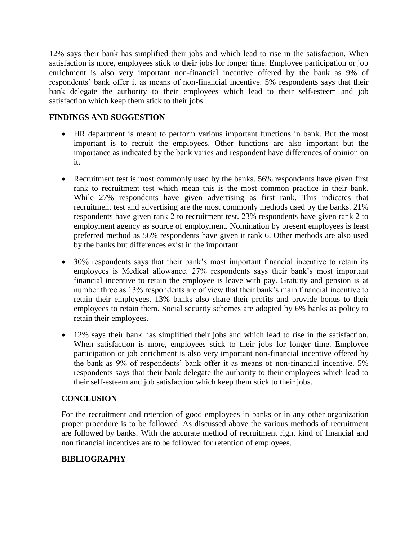12% says their bank has simplified their jobs and which lead to rise in the satisfaction. When satisfaction is more, employees stick to their jobs for longer time. Employee participation or job enrichment is also very important non-financial incentive offered by the bank as 9% of respondents' bank offer it as means of non-financial incentive. 5% respondents says that their bank delegate the authority to their employees which lead to their self-esteem and job satisfaction which keep them stick to their jobs.

#### **FINDINGS AND SUGGESTION**

- HR department is meant to perform various important functions in bank. But the most important is to recruit the employees. Other functions are also important but the importance as indicated by the bank varies and respondent have differences of opinion on it.
- Recruitment test is most commonly used by the banks. 56% respondents have given first rank to recruitment test which mean this is the most common practice in their bank. While 27% respondents have given advertising as first rank. This indicates that recruitment test and advertising are the most commonly methods used by the banks. 21% respondents have given rank 2 to recruitment test. 23% respondents have given rank 2 to employment agency as source of employment. Nomination by present employees is least preferred method as 56% respondents have given it rank 6. Other methods are also used by the banks but differences exist in the important.
- 30% respondents says that their bank's most important financial incentive to retain its employees is Medical allowance. 27% respondents says their bank's most important financial incentive to retain the employee is leave with pay. Gratuity and pension is at number three as 13% respondents are of view that their bank's main financial incentive to retain their employees. 13% banks also share their profits and provide bonus to their employees to retain them. Social security schemes are adopted by 6% banks as policy to retain their employees.
- 12% says their bank has simplified their jobs and which lead to rise in the satisfaction. When satisfaction is more, employees stick to their jobs for longer time. Employee participation or job enrichment is also very important non-financial incentive offered by the bank as 9% of respondents' bank offer it as means of non-financial incentive. 5% respondents says that their bank delegate the authority to their employees which lead to their self-esteem and job satisfaction which keep them stick to their jobs.

# **CONCLUSION**

For the recruitment and retention of good employees in banks or in any other organization proper procedure is to be followed. As discussed above the various methods of recruitment are followed by banks. With the accurate method of recruitment right kind of financial and non financial incentives are to be followed for retention of employees.

# **BIBLIOGRAPHY**